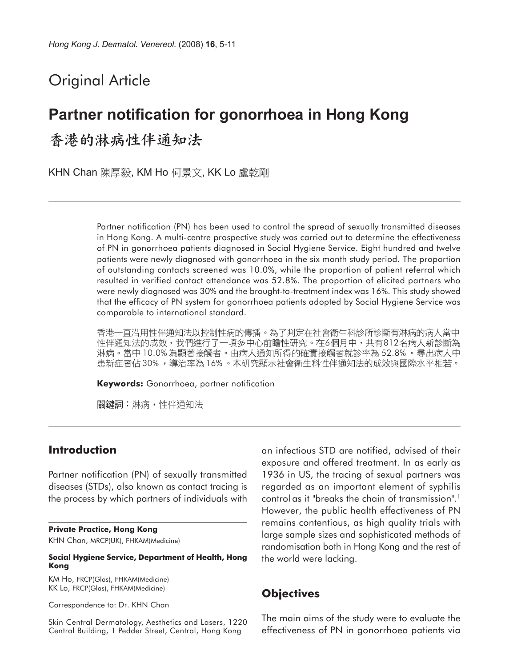# Original Article

# **Partner notification for gonorrhoea in Hong Kong**

香港的淋病性伴通知法

KHN Chan 陳厚毅, KM Ho 何景文, KK Lo 盧乾剛

Partner notification (PN) has been used to control the spread of sexually transmitted diseases in Hong Kong. A multi-centre prospective study was carried out to determine the effectiveness of PN in gonorrhoea patients diagnosed in Social Hygiene Service. Eight hundred and twelve patients were newly diagnosed with gonorrhoea in the six month study period. The proportion of outstanding contacts screened was 10.0%, while the proportion of patient referral which resulted in verified contact attendance was 52.8%. The proportion of elicited partners who were newly diagnosed was 30% and the brought-to-treatment index was 16%. This study showed that the efficacy of PN system for gonorrhoea patients adopted by Social Hygiene Service was comparable to international standard.

香港一直沿用性伴通知法以控制性病的傳播。為了判定在社會衛生科診所診斷有淋病的病人當中 性伴通知法的成效,我們進行了一項多中心前瞻性研究。在6個月中,共有812名病人新診斷為 淋病。當中 10.0% 為顯著接觸者。由病人通知所得的確實接觸者就診率為 52.8% 。尋出病人中 患新症者佔30%,導治率為16%。本研究顯示社會衛生科性伴通知法的成效與國際水平相若。

**Keywords:** Gonorrhoea, partner notification

關鍵詞:淋病,性伴通知法

# **Introduction**

Partner notification (PN) of sexually transmitted diseases (STDs), also known as contact tracing is the process by which partners of individuals with

#### **Private Practice, Hong Kong**

KHN Chan, MRCP(UK), FHKAM(Medicine)

#### **Social Hygiene Service, Department of Health, Hong Kong**

KM Ho, FRCP(Glas), FHKAM(Medicine) KK Lo, FRCP(Glas), FHKAM(Medicine)

Correspondence to: Dr. KHN Chan

Skin Central Dermatology, Aesthetics and Lasers, 1220 Central Building, 1 Pedder Street, Central, Hong Kong

an infectious STD are notified, advised of their exposure and offered treatment. In as early as 1936 in US, the tracing of sexual partners was regarded as an important element of syphilis control as it "breaks the chain of transmission".1 However, the public health effectiveness of PN remains contentious, as high quality trials with large sample sizes and sophisticated methods of randomisation both in Hong Kong and the rest of the world were lacking.

## **Objectives**

The main aims of the study were to evaluate the effectiveness of PN in gonorrhoea patients via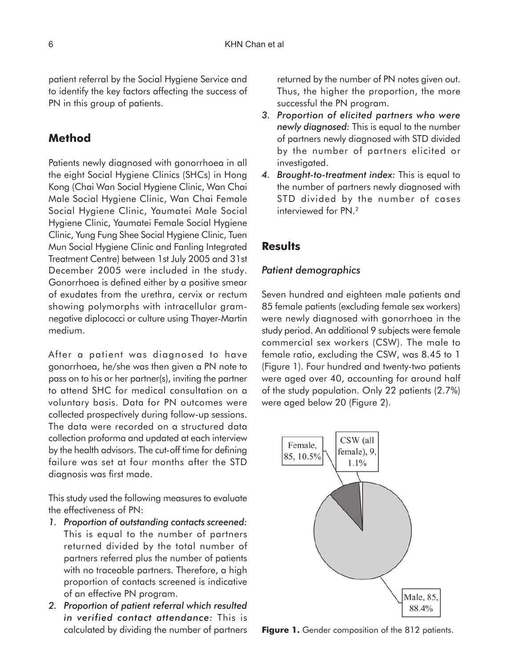patient referral by the Social Hygiene Service and to identify the key factors affecting the success of PN in this group of patients.

# **Method**

Patients newly diagnosed with gonorrhoea in all the eight Social Hygiene Clinics (SHCs) in Hong Kong (Chai Wan Social Hygiene Clinic, Wan Chai Male Social Hygiene Clinic, Wan Chai Female Social Hygiene Clinic, Yaumatei Male Social Hygiene Clinic, Yaumatei Female Social Hygiene Clinic, Yung Fung Shee Social Hygiene Clinic, Tuen Mun Social Hygiene Clinic and Fanling Integrated Treatment Centre) between 1st July 2005 and 31st December 2005 were included in the study. Gonorrhoea is defined either by a positive smear of exudates from the urethra, cervix or rectum showing polymorphs with intracellular gramnegative diplococci or culture using Thayer-Martin medium.

After a patient was diagnosed to have gonorrhoea, he/she was then given a PN note to pass on to his or her partner(s), inviting the partner to attend SHC for medical consultation on a voluntary basis. Data for PN outcomes were collected prospectively during follow-up sessions. The data were recorded on a structured data collection proforma and updated at each interview by the health advisors. The cut-off time for defining failure was set at four months after the STD diagnosis was first made.

This study used the following measures to evaluate the effectiveness of PN:

- *1. Proportion of outstanding contacts screened:* This is equal to the number of partners returned divided by the total number of partners referred plus the number of patients with no traceable partners. Therefore, a high proportion of contacts screened is indicative of an effective PN program.
- *2. Proportion of patient referral which resulted in verified contact attendance:* This is calculated by dividing the number of partners

returned by the number of PN notes given out. Thus, the higher the proportion, the more successful the PN program.

- *3. Proportion of elicited partners who were newly diagnosed:* This is equal to the number of partners newly diagnosed with STD divided by the number of partners elicited or investigated.
- *4. Brought-to-treatment index:* This is equal to the number of partners newly diagnosed with STD divided by the number of cases interviewed for PN.2

### **Results**

#### *Patient demographics*

Seven hundred and eighteen male patients and 85 female patients (excluding female sex workers) were newly diagnosed with gonorrhoea in the study period. An additional 9 subjects were female commercial sex workers (CSW). The male to female ratio, excluding the CSW, was 8.45 to 1 (Figure 1). Four hundred and twenty-two patients were aged over 40, accounting for around half of the study population. Only 22 patients (2.7%) were aged below 20 (Figure 2).



Figure 1. Gender composition of the 812 patients.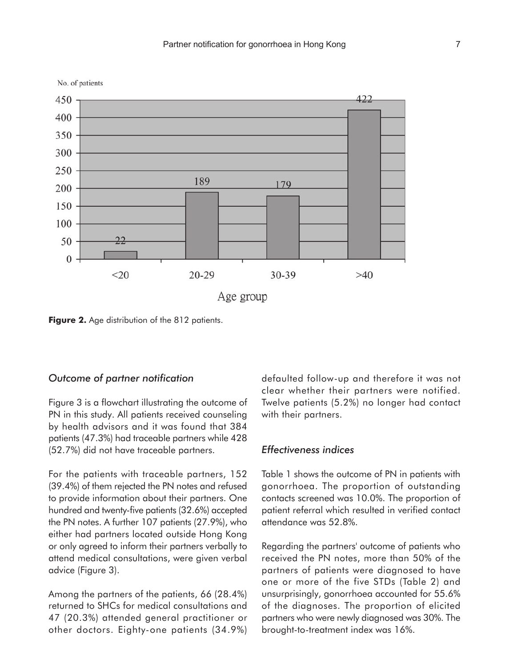



**Figure 2.** Age distribution of the 812 patients.

### *Outcome of partner notification*

Figure 3 is a flowchart illustrating the outcome of PN in this study. All patients received counseling by health advisors and it was found that 384 patients (47.3%) had traceable partners while 428 (52.7%) did not have traceable partners.

For the patients with traceable partners, 152 (39.4%) of them rejected the PN notes and refused to provide information about their partners. One hundred and twenty-five patients (32.6%) accepted the PN notes. A further 107 patients (27.9%), who either had partners located outside Hong Kong or only agreed to inform their partners verbally to attend medical consultations, were given verbal advice (Figure 3).

Among the partners of the patients, 66 (28.4%) returned to SHCs for medical consultations and 47 (20.3%) attended general practitioner or other doctors. Eighty-one patients (34.9%) defaulted follow-up and therefore it was not clear whether their partners were notified. Twelve patients (5.2%) no longer had contact with their partners.

#### *Effectiveness indices*

Table 1 shows the outcome of PN in patients with gonorrhoea. The proportion of outstanding contacts screened was 10.0%. The proportion of patient referral which resulted in verified contact attendance was 52.8%.

Regarding the partners' outcome of patients who received the PN notes, more than 50% of the partners of patients were diagnosed to have one or more of the five STDs (Table 2) and unsurprisingly, gonorrhoea accounted for 55.6% of the diagnoses. The proportion of elicited partners who were newly diagnosed was 30%. The brought-to-treatment index was 16%.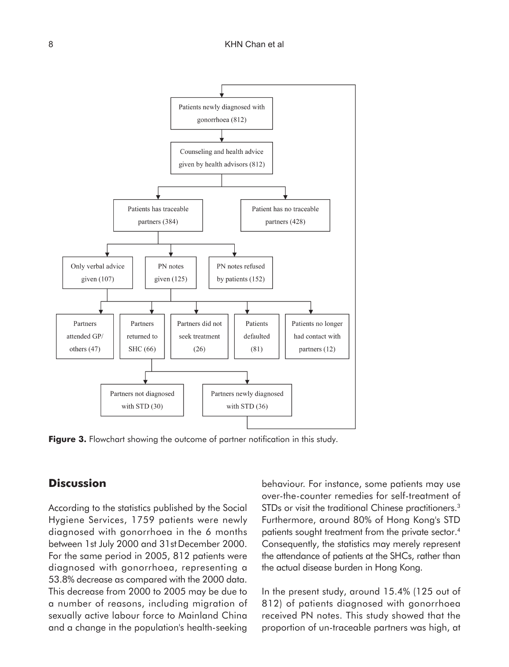

Figure 3. Flowchart showing the outcome of partner notification in this study.

## **Discussion**

According to the statistics published by the Social Hygiene Services, 1759 patients were newly diagnosed with gonorrhoea in the 6 months between 1st July 2000 and 31st December 2000. For the same period in 2005, 812 patients were diagnosed with gonorrhoea, representing a 53.8% decrease as compared with the 2000 data. This decrease from 2000 to 2005 may be due to a number of reasons, including migration of sexually active labour force to Mainland China and a change in the population's health-seeking behaviour. For instance, some patients may use over-the-counter remedies for self-treatment of STDs or visit the traditional Chinese practitioners.<sup>3</sup> Furthermore, around 80% of Hong Kong's STD patients sought treatment from the private sector.4 Consequently, the statistics may merely represent the attendance of patients at the SHCs, rather than the actual disease burden in Hong Kong.

In the present study, around 15.4% (125 out of 812) of patients diagnosed with gonorrhoea received PN notes. This study showed that the proportion of un-traceable partners was high, at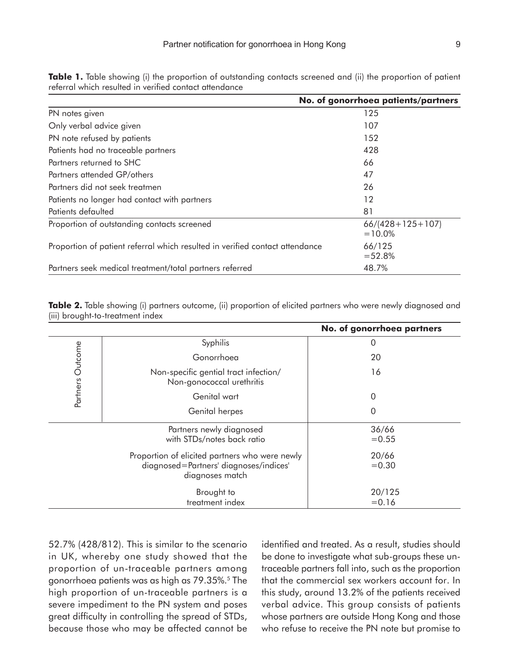|                                                                              | No. of gonorrhoea patients/partners |
|------------------------------------------------------------------------------|-------------------------------------|
| PN notes given                                                               | 125                                 |
| Only verbal advice given                                                     | 107                                 |
| PN note refused by patients                                                  | 152                                 |
| Patients had no traceable partners                                           | 428                                 |
| Partners returned to SHC                                                     | 66                                  |
| Partners attended GP/others                                                  | 47                                  |
| Partners did not seek treatmen                                               | 26                                  |
| Patients no longer had contact with partners                                 | 12                                  |
| Patients defaulted                                                           | 81                                  |
| Proportion of outstanding contacts screened                                  | $66/(428+125+107)$<br>$=10.0\%$     |
| Proportion of patient referral which resulted in verified contact attendance | 66/125<br>$= 52.8%$                 |
| Partners seek medical treatment/total partners referred                      | 48.7%                               |

**Table 1.** Table showing (i) the proportion of outstanding contacts screened and (ii) the proportion of patient referral which resulted in verified contact attendance

**Table 2.** Table showing (i) partners outcome, (ii) proportion of elicited partners who were newly diagnosed and (iii) brought-to-treatment index

|                                                        |                                                                                                             | No. of gonorrhoea partners |
|--------------------------------------------------------|-------------------------------------------------------------------------------------------------------------|----------------------------|
| Partners Outcome                                       | Syphilis                                                                                                    | $\Omega$                   |
|                                                        | Gonorrhoea                                                                                                  | 20                         |
|                                                        | Non-specific gential tract infection/<br>Non-gonococcal urethritis                                          | 16                         |
|                                                        | Genital wart                                                                                                | $\Omega$                   |
|                                                        | Genital herpes                                                                                              | $\Omega$                   |
| Partners newly diagnosed<br>with STDs/notes back ratio |                                                                                                             | 36/66<br>$= 0.55$          |
|                                                        | Proportion of elicited partners who were newly<br>diagnosed=Partners' diagnoses/indices'<br>diagnoses match | 20/66<br>$= 0.30$          |
|                                                        | Brought to<br>treatment index                                                                               | 20/125<br>$= 0.16$         |

52.7% (428/812). This is similar to the scenario in UK, whereby one study showed that the proportion of un-traceable partners among gonorrhoea patients was as high as 79.35%.5 The high proportion of un-traceable partners is a severe impediment to the PN system and poses great difficulty in controlling the spread of STDs, because those who may be affected cannot be identified and treated. As a result, studies should be done to investigate what sub-groups these untraceable partners fall into, such as the proportion that the commercial sex workers account for. In this study, around 13.2% of the patients received verbal advice. This group consists of patients whose partners are outside Hong Kong and those who refuse to receive the PN note but promise to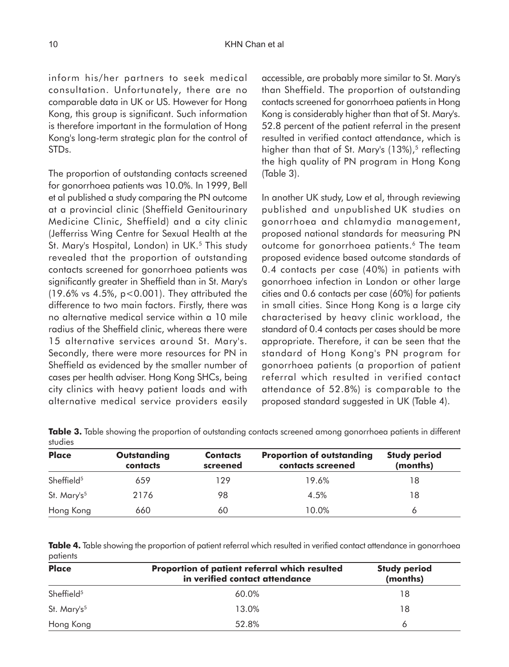inform his/her partners to seek medical consultation. Unfortunately, there are no comparable data in UK or US. However for Hong Kong, this group is significant. Such information is therefore important in the formulation of Hong Kong's long-term strategic plan for the control of STDs.

The proportion of outstanding contacts screened for gonorrhoea patients was 10.0%. In 1999, Bell et al published a study comparing the PN outcome at a provincial clinic (Sheffield Genitourinary Medicine Clinic, Sheffield) and a city clinic (Jefferriss Wing Centre for Sexual Health at the St. Mary's Hospital, London) in UK.<sup>5</sup> This study revealed that the proportion of outstanding contacts screened for gonorrhoea patients was significantly greater in Sheffield than in St. Mary's (19.6% vs 4.5%, p<0.001). They attributed the difference to two main factors. Firstly, there was no alternative medical service within a 10 mile radius of the Sheffield clinic, whereas there were 15 alternative services around St. Mary's. Secondly, there were more resources for PN in Sheffield as evidenced by the smaller number of cases per health adviser. Hong Kong SHCs, being city clinics with heavy patient loads and with alternative medical service providers easily accessible, are probably more similar to St. Mary's than Sheffield. The proportion of outstanding contacts screened for gonorrhoea patients in Hong Kong is considerably higher than that of St. Mary's. 52.8 percent of the patient referral in the present resulted in verified contact attendance, which is higher than that of St. Mary's  $(13\%)$ ,<sup>5</sup> reflecting the high quality of PN program in Hong Kong (Table 3).

In another UK study, Low et al, through reviewing published and unpublished UK studies on gonorrhoea and chlamydia management, proposed national standards for measuring PN outcome for gonorrhoea patients.6 The team proposed evidence based outcome standards of 0.4 contacts per case (40%) in patients with gonorrhoea infection in London or other large cities and 0.6 contacts per case (60%) for patients in small cities. Since Hong Kong is a large city characterised by heavy clinic workload, the standard of 0.4 contacts per cases should be more appropriate. Therefore, it can be seen that the standard of Hong Kong's PN program for gonorrhoea patients (a proportion of patient referral which resulted in verified contact attendance of 52.8%) is comparable to the proposed standard suggested in UK (Table 4).

**Table 3.** Table showing the proportion of outstanding contacts screened among gonorrhoea patients in different studies

| <b>Place</b>            | <b>Outstanding</b><br>contacts | <b>Contacts</b><br>screened | <b>Proportion of outstanding</b><br>contacts screened | <b>Study period</b><br>(months) |  |
|-------------------------|--------------------------------|-----------------------------|-------------------------------------------------------|---------------------------------|--|
| Sheffield <sup>5</sup>  | 659                            | 129                         | 19.6%                                                 | 18                              |  |
| St. Mary's <sup>5</sup> | 2176                           | 98                          | 4.5%                                                  | 18                              |  |
| Hong Kong               | 660                            | 60                          | 10.0%                                                 |                                 |  |

**Table 4.** Table showing the proportion of patient referral which resulted in verified contact attendance in gonorrhoea patients

| <b>Place</b>            | <b>Study period</b><br>(months) |    |  |
|-------------------------|---------------------------------|----|--|
| Sheffield <sup>5</sup>  | 60.0%                           | 18 |  |
| St. Mary's <sup>5</sup> | 13.0%                           | 18 |  |
| Hong Kong               | 52.8%                           | Ô  |  |